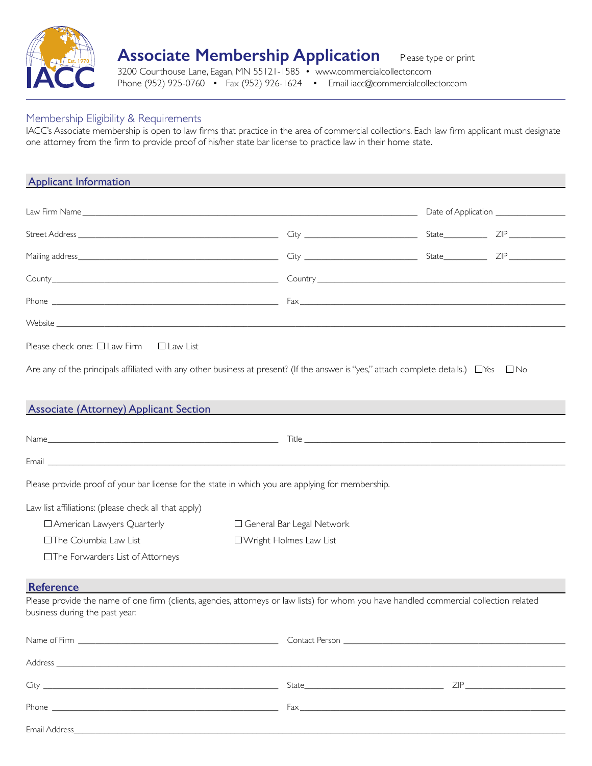

## **Associate Membership Application** Please type or print

3200 Courthouse Lane, Eagan, MN 55121-1585 • www.commercialcollector.com Phone (952) 925-0760 • Fax (952) 926-1624 • Email iacc@commercialcollector.com

## Membership Eligibility & Requirements

IACC's Associate membership is open to law firms that practice in the area of commercial collections. Each law firm applicant must designate one attorney from the firm to provide proof of his/her state bar license to practice law in their home state.

| <b>Applicant Information</b>                                                                                                                                                                                                                                                                                                                                                                                                                                            |                             |  |  |
|-------------------------------------------------------------------------------------------------------------------------------------------------------------------------------------------------------------------------------------------------------------------------------------------------------------------------------------------------------------------------------------------------------------------------------------------------------------------------|-----------------------------|--|--|
|                                                                                                                                                                                                                                                                                                                                                                                                                                                                         |                             |  |  |
|                                                                                                                                                                                                                                                                                                                                                                                                                                                                         |                             |  |  |
|                                                                                                                                                                                                                                                                                                                                                                                                                                                                         |                             |  |  |
|                                                                                                                                                                                                                                                                                                                                                                                                                                                                         |                             |  |  |
| Phone $\overline{\phantom{a}}$ $\overline{\phantom{a}}$ $\overline{\phantom{a}}$ $\overline{\phantom{a}}$ $\overline{\phantom{a}}$ $\overline{\phantom{a}}$ $\overline{\phantom{a}}$ $\overline{\phantom{a}}$ $\overline{\phantom{a}}$ $\overline{\phantom{a}}$ $\overline{\phantom{a}}$ $\overline{\phantom{a}}$ $\overline{\phantom{a}}$ $\overline{\phantom{a}}$ $\overline{\phantom{a}}$ $\overline{\phantom{a}}$ $\overline{\phantom{a}}$ $\overline{\phantom{a}}$ |                             |  |  |
| Website                                                                                                                                                                                                                                                                                                                                                                                                                                                                 |                             |  |  |
| Please check one: $\Box$ Law Firm $\Box$ Law List                                                                                                                                                                                                                                                                                                                                                                                                                       |                             |  |  |
| Are any of the principals affiliated with any other business at present? (If the answer is "yes," attach complete details.) $\Box$ Yes $\Box$ No<br><b>Associate (Attorney) Applicant Section</b>                                                                                                                                                                                                                                                                       |                             |  |  |
|                                                                                                                                                                                                                                                                                                                                                                                                                                                                         |                             |  |  |
| Email <b>Executive Contract Contract Contract Contract Contract Contract Contract Contract Contract Contract Contract Contract Contract Contract Contract Contract Contract Contract Contract Contract Contract Contract Contrac</b>                                                                                                                                                                                                                                    |                             |  |  |
| Please provide proof of your bar license for the state in which you are applying for membership.                                                                                                                                                                                                                                                                                                                                                                        |                             |  |  |
| Law list affiliations: (please check all that apply)                                                                                                                                                                                                                                                                                                                                                                                                                    |                             |  |  |
| □ American Lawyers Quarterly                                                                                                                                                                                                                                                                                                                                                                                                                                            | □ General Bar Legal Network |  |  |
| □The Columbia Law List                                                                                                                                                                                                                                                                                                                                                                                                                                                  | □ Wright Holmes Law List    |  |  |
| □The Forwarders List of Attorneys                                                                                                                                                                                                                                                                                                                                                                                                                                       |                             |  |  |
| <b>Reference</b>                                                                                                                                                                                                                                                                                                                                                                                                                                                        |                             |  |  |
| Please provide the name of one firm (clients, agencies, attorneys or law lists) for whom you have handled commercial collection related<br>business during the past year.                                                                                                                                                                                                                                                                                               |                             |  |  |
| Name of Firm <u>superior and the set of the set of the set of the set of the set of the set of the set of the set of the set of the set of the set of the set of the set of the set of the set of the set of the set of the set </u>                                                                                                                                                                                                                                    | Contact Person              |  |  |
|                                                                                                                                                                                                                                                                                                                                                                                                                                                                         |                             |  |  |
|                                                                                                                                                                                                                                                                                                                                                                                                                                                                         |                             |  |  |
| Phone $\frac{1}{2}$ Fax $\frac{1}{2}$ Fax $\frac{1}{2}$ Fax $\frac{1}{2}$ Fax $\frac{1}{2}$ Fax $\frac{1}{2}$ Fax $\frac{1}{2}$ Fax $\frac{1}{2}$ Fax $\frac{1}{2}$ Fax $\frac{1}{2}$ Fax $\frac{1}{2}$ Fax $\frac{1}{2}$ Fax $\frac{1}{2}$ Fax $\frac{1}{2}$ Fax $\frac{1}{2}$ Fax $\frac{1$                                                                                                                                                                           |                             |  |  |
|                                                                                                                                                                                                                                                                                                                                                                                                                                                                         |                             |  |  |

Email Address\_\_\_\_\_\_\_\_\_\_\_\_\_\_\_\_\_\_\_\_\_\_\_\_\_\_\_\_\_\_\_\_\_\_\_\_\_\_\_\_\_\_\_\_\_\_\_\_\_\_\_\_\_\_\_\_\_\_\_\_\_\_\_\_\_\_\_\_\_\_\_\_\_\_\_\_\_\_\_\_\_\_\_\_\_\_\_\_\_\_\_\_\_\_\_\_\_\_\_\_\_\_\_\_\_\_\_\_\_\_\_\_\_